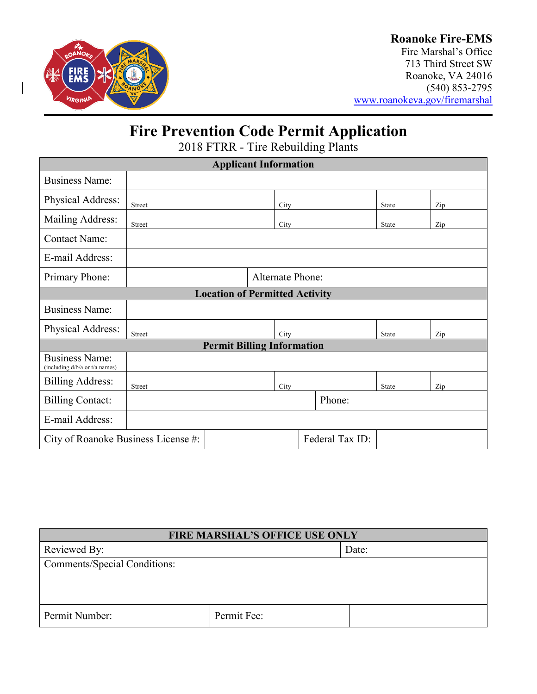

### **Roanoke Fire-EMS**

Fire Marshal's Office 713 Third Street SW Roanoke, VA 24016 (540) 853-2795 [www.roanokeva.gov/firemarshal](http://www.roanokeva.gov/firemarshal)

## **Fire Prevention Code Permit Application**

2018 FTRR - Tire Rebuilding Plants

| <b>Applicant Information</b>                            |                         |  |      |        |  |              |  |     |
|---------------------------------------------------------|-------------------------|--|------|--------|--|--------------|--|-----|
| <b>Business Name:</b>                                   |                         |  |      |        |  |              |  |     |
| Physical Address:                                       | Street                  |  | City |        |  | <b>State</b> |  | Zip |
| Mailing Address:                                        | Street                  |  | City |        |  | <b>State</b> |  | Zip |
| <b>Contact Name:</b>                                    |                         |  |      |        |  |              |  |     |
| E-mail Address:                                         |                         |  |      |        |  |              |  |     |
| Primary Phone:                                          | <b>Alternate Phone:</b> |  |      |        |  |              |  |     |
| <b>Location of Permitted Activity</b>                   |                         |  |      |        |  |              |  |     |
| <b>Business Name:</b>                                   |                         |  |      |        |  |              |  |     |
| Physical Address:                                       | <b>Street</b>           |  | City |        |  | State        |  | Zip |
| <b>Permit Billing Information</b>                       |                         |  |      |        |  |              |  |     |
| <b>Business Name:</b><br>(including d/b/a or t/a names) |                         |  |      |        |  |              |  |     |
| <b>Billing Address:</b>                                 | <b>Street</b>           |  | City |        |  | <b>State</b> |  | Zip |
| <b>Billing Contact:</b>                                 |                         |  |      | Phone: |  |              |  |     |
| E-mail Address:                                         |                         |  |      |        |  |              |  |     |
| Federal Tax ID:<br>City of Roanoke Business License #:  |                         |  |      |        |  |              |  |     |

| <b>FIRE MARSHAL'S OFFICE USE ONLY</b> |             |       |  |
|---------------------------------------|-------------|-------|--|
| Reviewed By:                          |             | Date: |  |
| <b>Comments/Special Conditions:</b>   |             |       |  |
|                                       |             |       |  |
|                                       |             |       |  |
| Permit Number:                        | Permit Fee: |       |  |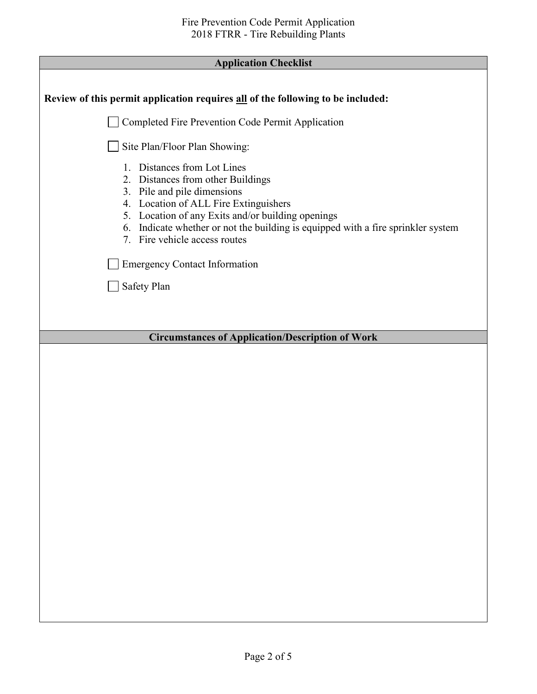| Review of this permit application requires all of the following to be included:                                                                                                                                                                                                                                             |
|-----------------------------------------------------------------------------------------------------------------------------------------------------------------------------------------------------------------------------------------------------------------------------------------------------------------------------|
| Completed Fire Prevention Code Permit Application                                                                                                                                                                                                                                                                           |
| Site Plan/Floor Plan Showing:                                                                                                                                                                                                                                                                                               |
| 1. Distances from Lot Lines<br>Distances from other Buildings<br>2.<br>Pile and pile dimensions<br>3.<br>4. Location of ALL Fire Extinguishers<br>5. Location of any Exits and/or building openings<br>Indicate whether or not the building is equipped with a fire sprinkler system<br>6.<br>7. Fire vehicle access routes |
| <b>Emergency Contact Information</b>                                                                                                                                                                                                                                                                                        |
| Safety Plan                                                                                                                                                                                                                                                                                                                 |
|                                                                                                                                                                                                                                                                                                                             |
| <b>Circumstances of Application/Description of Work</b>                                                                                                                                                                                                                                                                     |
|                                                                                                                                                                                                                                                                                                                             |
|                                                                                                                                                                                                                                                                                                                             |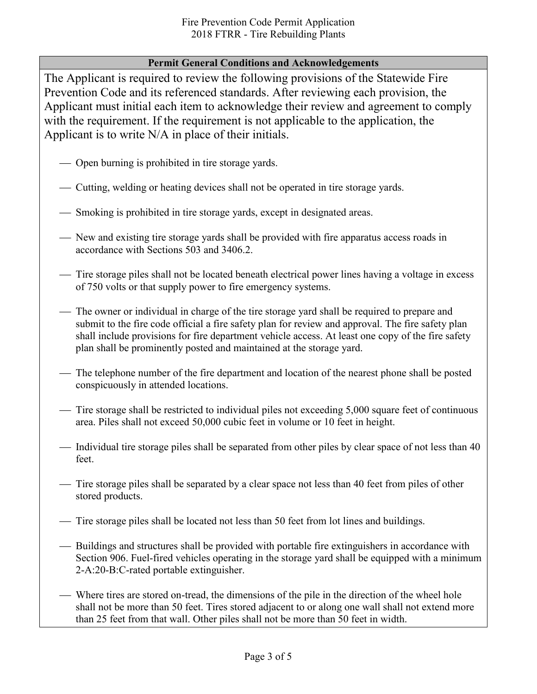### **Permit General Conditions and Acknowledgements**

The Applicant is required to review the following provisions of the Statewide Fire Prevention Code and its referenced standards. After reviewing each provision, the Applicant must initial each item to acknowledge their review and agreement to comply with the requirement. If the requirement is not applicable to the application, the Applicant is to write N/A in place of their initials.

- Open burning is prohibited in tire storage yards.
- Cutting, welding or heating devices shall not be operated in tire storage yards.
- Smoking is prohibited in tire storage yards, except in designated areas.
- New and existing tire storage yards shall be provided with fire apparatus access roads in accordance with Sections 503 and 3406.2.
- Tire storage piles shall not be located beneath electrical power lines having a voltage in excess of 750 volts or that supply power to fire emergency systems.
- The owner or individual in charge of the tire storage yard shall be required to prepare and submit to the fire code official a fire safety plan for review and approval. The fire safety plan shall include provisions for fire department vehicle access. At least one copy of the fire safety plan shall be prominently posted and maintained at the storage yard.
- The telephone number of the fire department and location of the nearest phone shall be posted conspicuously in attended locations.
- Tire storage shall be restricted to individual piles not exceeding 5,000 square feet of continuous area. Piles shall not exceed 50,000 cubic feet in volume or 10 feet in height.
- Individual tire storage piles shall be separated from other piles by clear space of not less than 40 feet.
- Tire storage piles shall be separated by a clear space not less than 40 feet from piles of other stored products.
- Tire storage piles shall be located not less than 50 feet from lot lines and buildings.
- Buildings and structures shall be provided with portable fire extinguishers in accordance with Section 906. Fuel-fired vehicles operating in the storage yard shall be equipped with a minimum 2-A:20-B:C-rated portable extinguisher.
- Where tires are stored on-tread, the dimensions of the pile in the direction of the wheel hole shall not be more than 50 feet. Tires stored adjacent to or along one wall shall not extend more than 25 feet from that wall. Other piles shall not be more than 50 feet in width.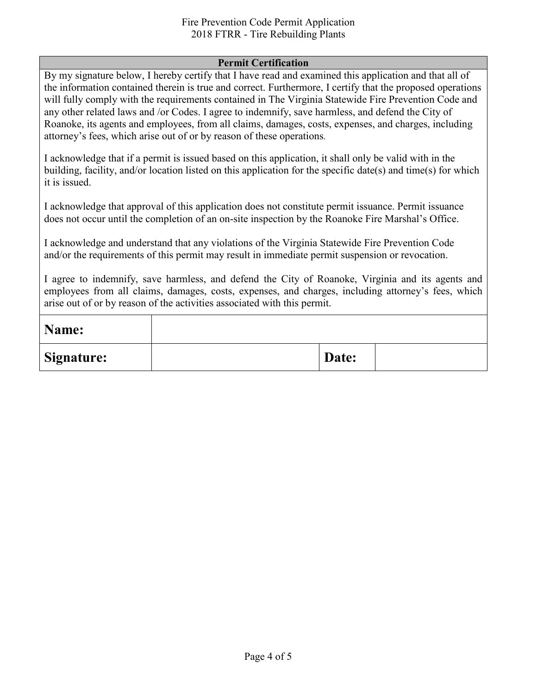#### Fire Prevention Code Permit Application 2018 FTRR - Tire Rebuilding Plants

#### **Permit Certification**

By my signature below, I hereby certify that I have read and examined this application and that all of the information contained therein is true and correct. Furthermore, I certify that the proposed operations will fully comply with the requirements contained in The Virginia Statewide Fire Prevention Code and any other related laws and /or Codes. I agree to indemnify, save harmless, and defend the City of Roanoke, its agents and employees, from all claims, damages, costs, expenses, and charges, including attorney's fees, which arise out of or by reason of these operations.

I acknowledge that if a permit is issued based on this application, it shall only be valid with in the building, facility, and/or location listed on this application for the specific date(s) and time(s) for which it is issued.

I acknowledge that approval of this application does not constitute permit issuance. Permit issuance does not occur until the completion of an on-site inspection by the Roanoke Fire Marshal's Office.

I acknowledge and understand that any violations of the Virginia Statewide Fire Prevention Code and/or the requirements of this permit may result in immediate permit suspension or revocation.

I agree to indemnify, save harmless, and defend the City of Roanoke, Virginia and its agents and employees from all claims, damages, costs, expenses, and charges, including attorney's fees, which arise out of or by reason of the activities associated with this permit.

| Name:             |       |  |
|-------------------|-------|--|
| <b>Signature:</b> | Date: |  |